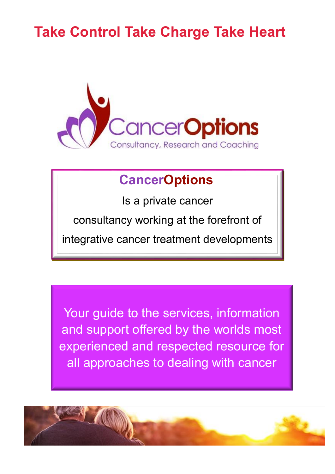### **Take Control Take Charge Take Heart**



### **CancerOptions**

Is a private cancer

consultancy working at the forefront of

integrative cancer treatment developments

Your guide to the services, information and support offered by the worlds most experienced and respected resource for all approaches to dealing with cancer

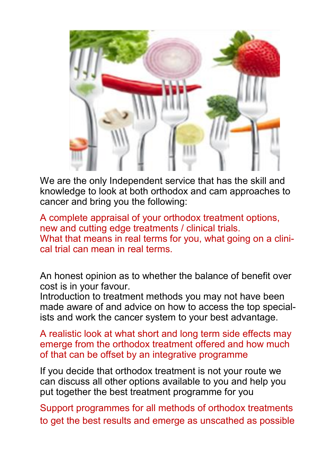

We are the only Independent service that has the skill and knowledge to look at both orthodox and cam approaches to cancer and bring you the following:

A complete appraisal of your orthodox treatment options, new and cutting edge treatments / clinical trials. What that means in real terms for you, what going on a clinical trial can mean in real terms.

An honest opinion as to whether the balance of benefit over cost is in your favour.

Introduction to treatment methods you may not have been made aware of and advice on how to access the top specialists and work the cancer system to your best advantage.

A realistic look at what short and long term side effects may emerge from the orthodox treatment offered and how much of that can be offset by an integrative programme

If you decide that orthodox treatment is not your route we can discuss all other options available to you and help you put together the best treatment programme for you

Support programmes for all methods of orthodox treatments to get the best results and emerge as unscathed as possible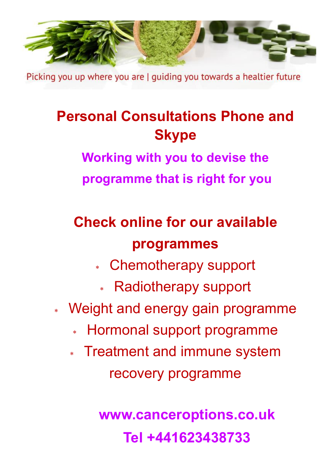

Picking you up where you are | quiding you towards a healtier future

## **Personal Consultations Phone and Skype**

**Working with you to devise the**

**programme that is right for you**

# **Check online for our available programmes**

- Chemotherapy support
	- Radiotherapy support
- Weight and energy gain programme
	- Hormonal support programme
	- Treatment and immune system recovery programme

**www.canceroptions.co.uk Tel +441623438733**